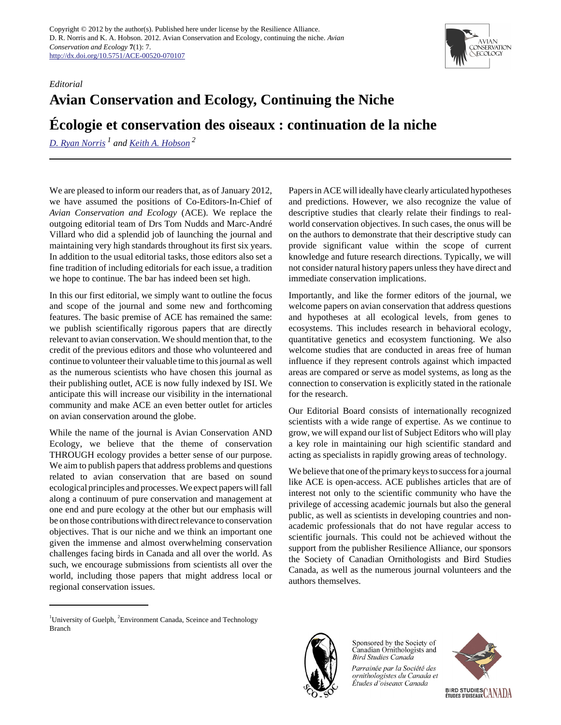## *Editorial*

## **Avian Conservation and Ecology, Continuing the Niche**

## **Écologie et conservation des oiseaux : continuation de la niche**

*[D. Ryan Norris](mailto:rnorris@uoguelph.ca) 1 and [Keith A. Hobson](mailto:keith.hobson@ec.gc.ca)<sup>2</sup>*

We are pleased to inform our readers that, as of January 2012, we have assumed the positions of Co-Editors-In-Chief of *Avian Conservation and Ecology* (ACE). We replace the outgoing editorial team of Drs Tom Nudds and Marc-André Villard who did a splendid job of launching the journal and maintaining very high standards throughout its first six years. In addition to the usual editorial tasks, those editors also set a fine tradition of including editorials for each issue, a tradition we hope to continue. The bar has indeed been set high.

In this our first editorial, we simply want to outline the focus and scope of the journal and some new and forthcoming features. The basic premise of ACE has remained the same: we publish scientifically rigorous papers that are directly relevant to avian conservation. We should mention that, to the credit of the previous editors and those who volunteered and continue to volunteer their valuable time to this journal as well as the numerous scientists who have chosen this journal as their publishing outlet, ACE is now fully indexed by ISI. We anticipate this will increase our visibility in the international community and make ACE an even better outlet for articles on avian conservation around the globe.

While the name of the journal is Avian Conservation AND Ecology, we believe that the theme of conservation THROUGH ecology provides a better sense of our purpose. We aim to publish papers that address problems and questions related to avian conservation that are based on sound ecological principles and processes. We expect papers will fall along a continuum of pure conservation and management at one end and pure ecology at the other but our emphasis will be on those contributions with direct relevance to conservation objectives. That is our niche and we think an important one given the immense and almost overwhelming conservation challenges facing birds in Canada and all over the world. As such, we encourage submissions from scientists all over the world, including those papers that might address local or regional conservation issues.

Papers in ACE will ideally have clearly articulated hypotheses and predictions. However, we also recognize the value of descriptive studies that clearly relate their findings to realworld conservation objectives. In such cases, the onus will be on the authors to demonstrate that their descriptive study can provide significant value within the scope of current knowledge and future research directions. Typically, we will not consider natural history papers unless they have direct and immediate conservation implications.

Importantly, and like the former editors of the journal, we welcome papers on avian conservation that address questions and hypotheses at all ecological levels, from genes to ecosystems. This includes research in behavioral ecology, quantitative genetics and ecosystem functioning. We also welcome studies that are conducted in areas free of human influence if they represent controls against which impacted areas are compared or serve as model systems, as long as the connection to conservation is explicitly stated in the rationale for the research.

Our Editorial Board consists of internationally recognized scientists with a wide range of expertise. As we continue to grow, we will expand our list of Subject Editors who will play a key role in maintaining our high scientific standard and acting as specialists in rapidly growing areas of technology.

We believe that one of the primary keys to success for a journal like ACE is open-access. ACE publishes articles that are of interest not only to the scientific community who have the privilege of accessing academic journals but also the general public, as well as scientists in developing countries and nonacademic professionals that do not have regular access to scientific journals. This could not be achieved without the support from the publisher Resilience Alliance, our sponsors the Society of Canadian Ornithologists and Bird Studies Canada, as well as the numerous journal volunteers and the authors themselves.



Sponsored by the Society of Canadian Ornithologists and **Bird Studies Canada** 

Parrainée par la Société des ornithologistes du Canada et Études d'oiseaux Canada





<sup>&</sup>lt;sup>1</sup>University of Guelph, <sup>2</sup>Environment Canada, Sceince and Technology Branch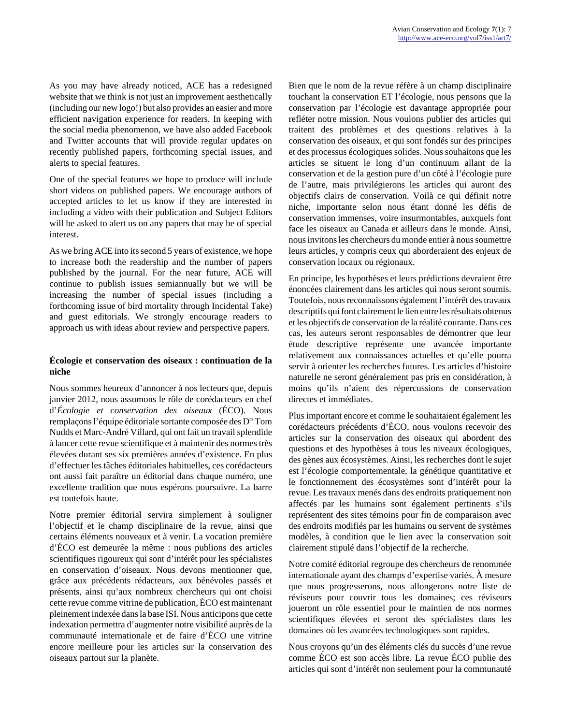As you may have already noticed, ACE has a redesigned website that we think is not just an improvement aesthetically (including our new logo!) but also provides an easier and more efficient navigation experience for readers. In keeping with the social media phenomenon, we have also added Facebook and Twitter accounts that will provide regular updates on recently published papers, forthcoming special issues, and alerts to special features.

One of the special features we hope to produce will include short videos on published papers. We encourage authors of accepted articles to let us know if they are interested in including a video with their publication and Subject Editors will be asked to alert us on any papers that may be of special interest.

As we bring ACE into its second 5 years of existence, we hope to increase both the readership and the number of papers published by the journal. For the near future, ACE will continue to publish issues semiannually but we will be increasing the number of special issues (including a forthcoming issue of bird mortality through Incidental Take) and guest editorials. We strongly encourage readers to approach us with ideas about review and perspective papers.

## **Écologie et conservation des oiseaux : continuation de la niche**

Nous sommes heureux d'annoncer à nos lecteurs que, depuis janvier 2012, nous assumons le rôle de corédacteurs en chef d'*Écologie et conservation des oiseaux* (ÉCO). Nous remplaçons l'équipe éditoriale sortante composée des D<sup>rs</sup> Tom Nudds et Marc-André Villard, qui ont fait un travail splendide à lancer cette revue scientifique et à maintenir des normes très élevées durant ses six premières années d'existence. En plus d'effectuer les tâches éditoriales habituelles, ces corédacteurs ont aussi fait paraître un éditorial dans chaque numéro, une excellente tradition que nous espérons poursuivre. La barre est toutefois haute.

Notre premier éditorial servira simplement à souligner l'objectif et le champ disciplinaire de la revue, ainsi que certains éléments nouveaux et à venir. La vocation première d'ÉCO est demeurée la même : nous publions des articles scientifiques rigoureux qui sont d'intérêt pour les spécialistes en conservation d'oiseaux. Nous devons mentionner que, grâce aux précédents rédacteurs, aux bénévoles passés et présents, ainsi qu'aux nombreux chercheurs qui ont choisi cette revue comme vitrine de publication, ÉCO est maintenant pleinement indexée dans la base ISI. Nous anticipons que cette indexation permettra d'augmenter notre visibilité auprès de la communauté internationale et de faire d'ÉCO une vitrine encore meilleure pour les articles sur la conservation des oiseaux partout sur la planète.

Bien que le nom de la revue réfère à un champ disciplinaire touchant la conservation ET l'écologie, nous pensons que la conservation par l'écologie est davantage appropriée pour refléter notre mission. Nous voulons publier des articles qui traitent des problèmes et des questions relatives à la conservation des oiseaux, et qui sont fondés sur des principes et des processus écologiques solides. Nous souhaitons que les articles se situent le long d'un continuum allant de la conservation et de la gestion pure d'un côté à l'écologie pure de l'autre, mais privilégierons les articles qui auront des objectifs clairs de conservation. Voilà ce qui définit notre niche, importante selon nous étant donné les défis de conservation immenses, voire insurmontables, auxquels font face les oiseaux au Canada et ailleurs dans le monde. Ainsi, nous invitons les chercheurs du monde entier à nous soumettre leurs articles, y compris ceux qui aborderaient des enjeux de conservation locaux ou régionaux.

En principe, les hypothèses et leurs prédictions devraient être énoncées clairement dans les articles qui nous seront soumis. Toutefois, nous reconnaissons également l'intérêt des travaux descriptifs qui font clairement le lien entre les résultats obtenus et les objectifs de conservation de la réalité courante. Dans ces cas, les auteurs seront responsables de démontrer que leur étude descriptive représente une avancée importante relativement aux connaissances actuelles et qu'elle pourra servir à orienter les recherches futures. Les articles d'histoire naturelle ne seront généralement pas pris en considération, à moins qu'ils n'aient des répercussions de conservation directes et immédiates.

Plus important encore et comme le souhaitaient également les corédacteurs précédents d'ÉCO, nous voulons recevoir des articles sur la conservation des oiseaux qui abordent des questions et des hypothèses à tous les niveaux écologiques, des gènes aux écosystèmes. Ainsi, les recherches dont le sujet est l'écologie comportementale, la génétique quantitative et le fonctionnement des écosystèmes sont d'intérêt pour la revue. Les travaux menés dans des endroits pratiquement non affectés par les humains sont également pertinents s'ils représentent des sites témoins pour fin de comparaison avec des endroits modifiés par les humains ou servent de systèmes modèles, à condition que le lien avec la conservation soit clairement stipulé dans l'objectif de la recherche.

Notre comité éditorial regroupe des chercheurs de renommée internationale ayant des champs d'expertise variés. À mesure que nous progresserons, nous allongerons notre liste de réviseurs pour couvrir tous les domaines; ces réviseurs joueront un rôle essentiel pour le maintien de nos normes scientifiques élevées et seront des spécialistes dans les domaines où les avancées technologiques sont rapides.

Nous croyons qu'un des éléments clés du succès d'une revue comme ÉCO est son accès libre. La revue ÉCO publie des articles qui sont d'intérêt non seulement pour la communauté